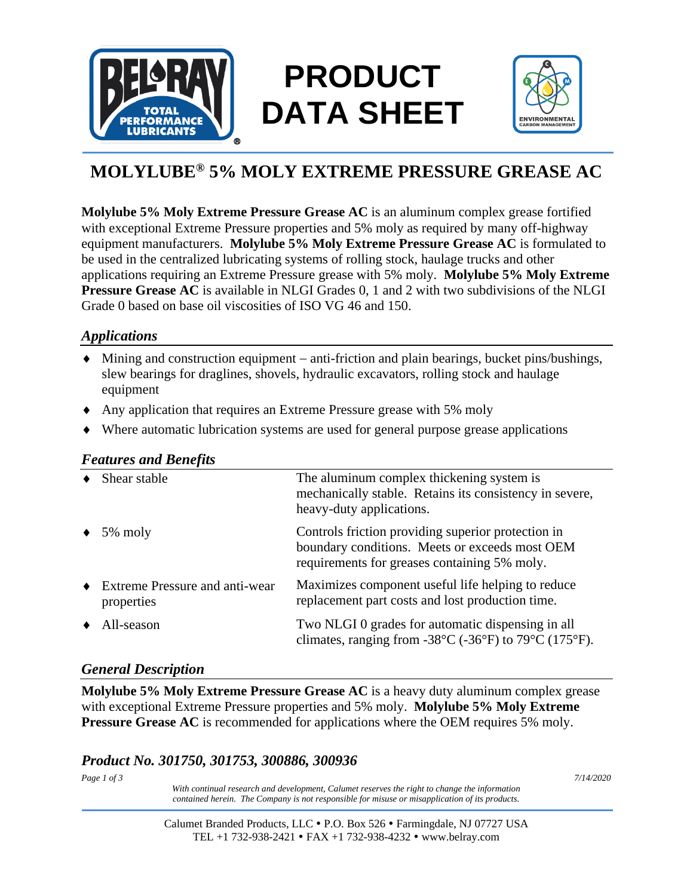

# **PRODUCT DATA SHEET**



## **MOLYLUBE® 5% MOLY EXTREME PRESSURE GREASE AC**

**Molylube 5% Moly Extreme Pressure Grease AC** is an aluminum complex grease fortified with exceptional Extreme Pressure properties and 5% moly as required by many off-highway equipment manufacturers. **Molylube 5% Moly Extreme Pressure Grease AC** is formulated to be used in the centralized lubricating systems of rolling stock, haulage trucks and other applications requiring an Extreme Pressure grease with 5% moly. **Molylube 5% Moly Extreme Pressure Grease AC** is available in NLGI Grades 0, 1 and 2 with two subdivisions of the NLGI Grade 0 based on base oil viscosities of ISO VG 46 and 150.

### *Applications*

- Mining and construction equipment − anti-friction and plain bearings, bucket pins/bushings, slew bearings for draglines, shovels, hydraulic excavators, rolling stock and haulage equipment
- Any application that requires an Extreme Pressure grease with 5% moly
- Where automatic lubrication systems are used for general purpose grease applications

#### *Features and Benefits*

| Shear stable                                   | The aluminum complex thickening system is<br>mechanically stable. Retains its consistency in severe,<br>heavy-duty applications.                       |  |  |
|------------------------------------------------|--------------------------------------------------------------------------------------------------------------------------------------------------------|--|--|
| 5% moly                                        | Controls friction providing superior protection in<br>boundary conditions. Meets or exceeds most OEM<br>requirements for greases containing 5% moly.   |  |  |
| • Extreme Pressure and anti-wear<br>properties | Maximizes component useful life helping to reduce<br>replacement part costs and lost production time.                                                  |  |  |
| All-season                                     | Two NLGI 0 grades for automatic dispensing in all<br>climates, ranging from -38 $^{\circ}$ C (-36 $^{\circ}$ F) to 79 $^{\circ}$ C (175 $^{\circ}$ F). |  |  |

#### *General Description*

**Molylube 5% Moly Extreme Pressure Grease AC** is a heavy duty aluminum complex grease with exceptional Extreme Pressure properties and 5% moly. **Molylube 5% Moly Extreme Pressure Grease AC** is recommended for applications where the OEM requires 5% moly.

### *Product No. 301750, 301753, 300886, 300936*

*Page 1 of 3 7/14/2020 With continual research and development, Calumet reserves the right to change the information contained herein. The Company is not responsible for misuse or misapplication of its products.*

> Calumet Branded Products, LLC P.O. Box 526 Farmingdale, NJ 07727 USA TEL +1 732-938-2421 FAX +1 732-938-4232 www.belray.com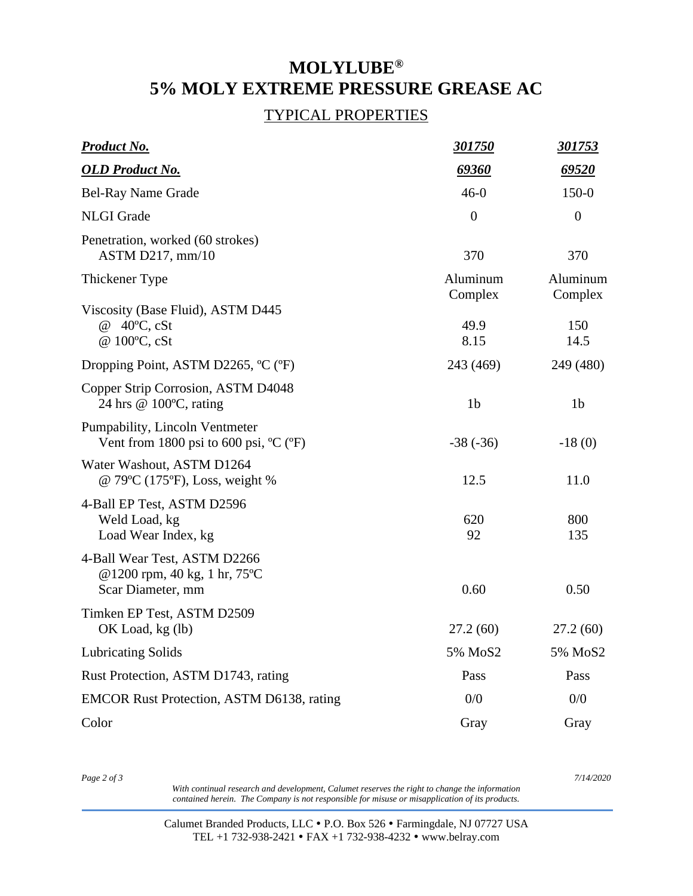## **MOLYLUBE® 5% MOLY EXTREME PRESSURE GREASE AC**

#### TYPICAL PROPERTIES

| Product No.                                                                                  | <u>301750</u>       | <u>301753</u>       |
|----------------------------------------------------------------------------------------------|---------------------|---------------------|
| <b>OLD Product No.</b>                                                                       | 69360               | 69520               |
| <b>Bel-Ray Name Grade</b>                                                                    | $46-0$              | $150-0$             |
| <b>NLGI</b> Grade                                                                            | $\overline{0}$      | $\boldsymbol{0}$    |
| Penetration, worked (60 strokes)<br>ASTM D217, $mm/10$                                       | 370                 | 370                 |
| Thickener Type                                                                               | Aluminum<br>Complex | Aluminum<br>Complex |
| Viscosity (Base Fluid), ASTM D445<br>@ 40°C, cSt<br>@ 100°C, cSt                             | 49.9<br>8.15        | 150<br>14.5         |
| Dropping Point, ASTM D2265, °C (°F)                                                          | 243 (469)           | 249 (480)           |
| Copper Strip Corrosion, ASTM D4048<br>24 hrs @ 100°C, rating                                 | 1 <sub>b</sub>      | 1 <sub>b</sub>      |
| Pumpability, Lincoln Ventmeter<br>Vent from 1800 psi to 600 psi, $^{\circ}C$ ( $^{\circ}F$ ) | $-38(-36)$          | $-18(0)$            |
| Water Washout, ASTM D1264<br>@ 79°C (175°F), Loss, weight %                                  | 12.5                | 11.0                |
| 4-Ball EP Test, ASTM D2596<br>Weld Load, kg<br>Load Wear Index, kg                           | 620<br>92           | 800<br>135          |
| 4-Ball Wear Test, ASTM D2266<br>@1200 rpm, 40 kg, 1 hr, 75°C<br>Scar Diameter, mm            | 0.60                | 0.50                |
| Timken EP Test, ASTM D2509<br>OK Load, kg (lb)                                               | 27.2(60)            | 27.2(60)            |
| <b>Lubricating Solids</b>                                                                    | 5% MoS2             | 5% MoS2             |
| Rust Protection, ASTM D1743, rating                                                          | Pass                | Pass                |
| <b>EMCOR Rust Protection, ASTM D6138, rating</b>                                             | 0/0                 | 0/0                 |
| Color                                                                                        | Gray                | Gray                |

*Page 2 of 3 7/14/2020*

*With continual research and development, Calumet reserves the right to change the information contained herein. The Company is not responsible for misuse or misapplication of its products.*